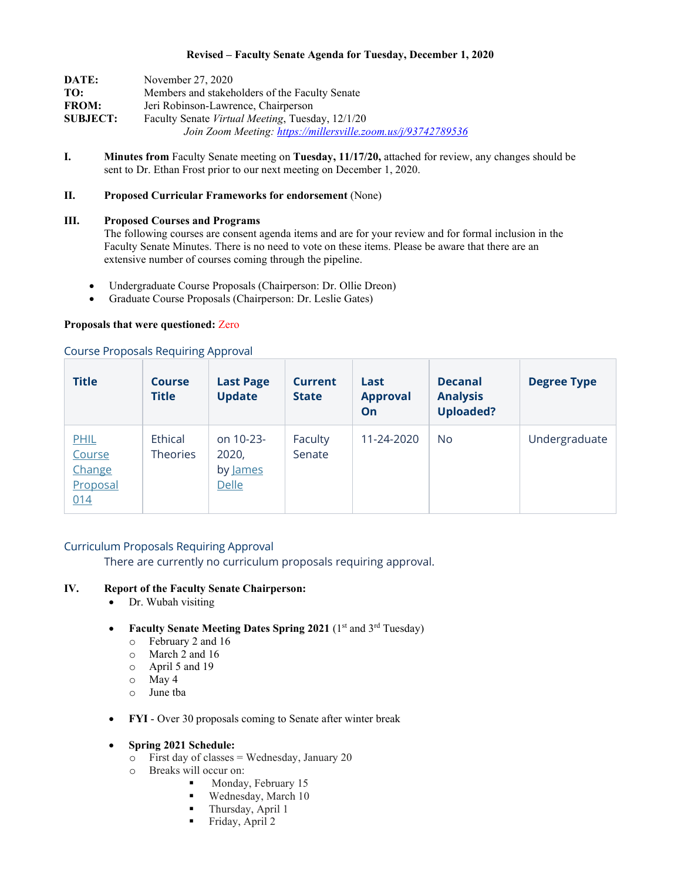#### **Revised – Faculty Senate Agenda for Tuesday, December 1, 2020**

| DATE:           | November 27, 2020                                             |  |  |  |  |  |
|-----------------|---------------------------------------------------------------|--|--|--|--|--|
| TO:             | Members and stakeholders of the Faculty Senate                |  |  |  |  |  |
| <b>FROM:</b>    | Jeri Robinson-Lawrence, Chairperson                           |  |  |  |  |  |
| <b>SUBJECT:</b> | Faculty Senate Virtual Meeting, Tuesday, 12/1/20              |  |  |  |  |  |
|                 | Join Zoom Meeting: https://millersville.zoom.us/j/93742789536 |  |  |  |  |  |

**I. Minutes from** Faculty Senate meeting on **Tuesday, 11/17/20,** attached for review, any changes should be sent to Dr. Ethan Frost prior to our next meeting on December 1, 2020.

## **II. Proposed Curricular Frameworks for endorsement** (None)

#### **III. Proposed Courses and Programs**

The following courses are consent agenda items and are for your review and for formal inclusion in the Faculty Senate Minutes. There is no need to vote on these items. Please be aware that there are an extensive number of courses coming through the pipeline.

- Undergraduate Course Proposals (Chairperson: Dr. Ollie Dreon)
- Graduate Course Proposals (Chairperson: Dr. Leslie Gates)

#### **Proposals that were questioned:** Zero

#### Course Proposals Requiring Approval

| <b>Title</b>                                | <b>Course</b><br><b>Title</b> | <b>Last Page</b><br><b>Update</b>       | <b>Current</b><br><b>State</b> | Last<br><b>Approval</b><br>On | <b>Decanal</b><br><b>Analysis</b><br><b>Uploaded?</b> | <b>Degree Type</b> |
|---------------------------------------------|-------------------------------|-----------------------------------------|--------------------------------|-------------------------------|-------------------------------------------------------|--------------------|
| PHIL<br>Course<br>Change<br>Proposal<br>014 | Ethical<br><b>Theories</b>    | on 10-23-<br>2020,<br>by James<br>Delle | Faculty<br>Senate              | 11-24-2020                    | No.                                                   | Undergraduate      |

### Curriculum Proposals Requiring Approval

There are currently no curriculum proposals requiring approval.

## **IV. Report of the Faculty Senate Chairperson:**

- Dr. Wubah visiting
- **Faculty Senate Meeting Dates Spring 2021** (1st and 3rd Tuesday)
	- o February 2 and 16
	- o March 2 and 16
	- o April 5 and 19
	- o May 4
	- June tba
- **FYI** Over 30 proposals coming to Senate after winter break
- **Spring 2021 Schedule:**
	- $\circ$  First day of classes = Wednesday, January 20
	- o Breaks will occur on:
		- Monday, February 15
		- **Wednesday**, March 10
		- $\blacksquare$  Thursday, April 1
		- $\blacksquare$  Friday, April 2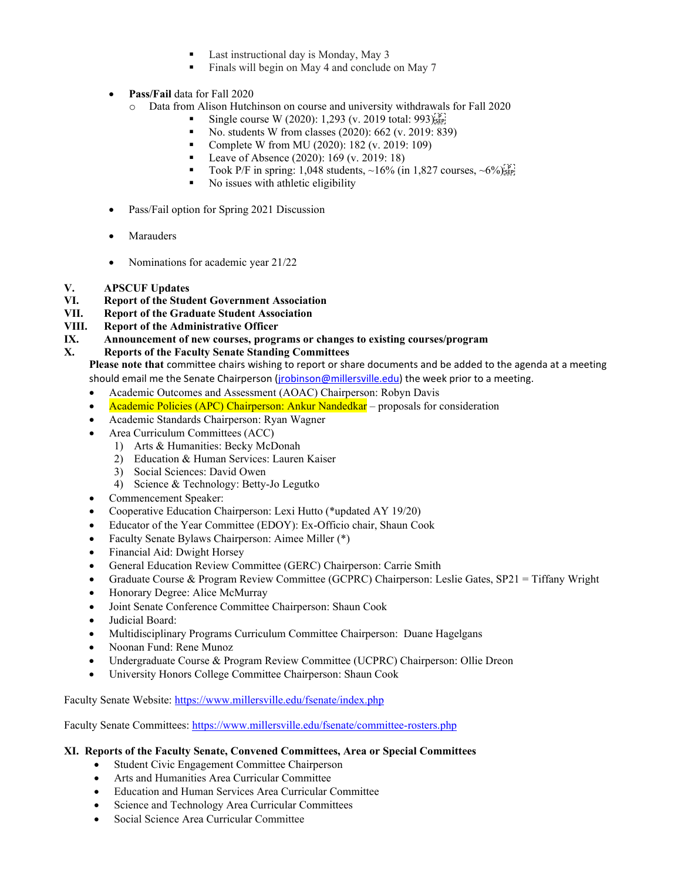- Last instructional day is Monday, May 3
- Finals will begin on May 4 and conclude on May 7
- **Pass/Fail** data for Fall 2020
	- o Data from Alison Hutchinson on course and university withdrawals for Fall 2020
		- Single course W (2020): 1,293 (v. 2019 total: 993)<sup>[P]</sup>[SEP]
		- No. students W from classes (2020): 662 (v. 2019: 839)
		- Complete W from MU (2020): 182 (v. 2019: 109)
		- Leave of Absence (2020): 169 (v. 2019: 18)
		- Took P/F in spring: 1,048 students,  $\sim$ 16% (in 1,827 courses,  $\sim$ 6%)<sup>[p]</sup><sub>[sep]</sub>
		- No issues with athletic eligibility
- Pass/Fail option for Spring 2021 Discussion
- **Marauders**
- Nominations for academic year 21/22

# **V. APSCUF Updates**

- **VI. Report of the Student Government Association**
- **VII. Report of the Graduate Student Association**
- **VIII. Report of the Administrative Officer**
- **IX. Announcement of new courses, programs or changes to existing courses/program**

## **X. Reports of the Faculty Senate Standing Committees**

**Please note that** committee chairs wishing to report or share documents and be added to the agenda at a meeting should email me the Senate Chairperson (irobinson@millersville.edu) the week prior to a meeting.

- Academic Outcomes and Assessment (AOAC) Chairperson: Robyn Davis
- Academic Policies (APC) Chairperson: Ankur Nandedkar proposals for consideration
- Academic Standards Chairperson: Ryan Wagner
- Area Curriculum Committees (ACC)
	- 1) Arts & Humanities: Becky McDonah
	- 2) Education & Human Services: Lauren Kaiser
	- 3) Social Sciences: David Owen
	- 4) Science & Technology: Betty-Jo Legutko
- Commencement Speaker:
- Cooperative Education Chairperson: Lexi Hutto (\*updated AY 19/20)
- Educator of the Year Committee (EDOY): Ex-Officio chair, Shaun Cook
- Faculty Senate Bylaws Chairperson: Aimee Miller (\*)
- Financial Aid: Dwight Horsey
- General Education Review Committee (GERC) Chairperson: Carrie Smith
- Graduate Course & Program Review Committee (GCPRC) Chairperson: Leslie Gates, SP21 = Tiffany Wright
- Honorary Degree: Alice McMurray
- Joint Senate Conference Committee Chairperson: Shaun Cook
- Judicial Board:
- Multidisciplinary Programs Curriculum Committee Chairperson: Duane Hagelgans
- Noonan Fund: Rene Munoz
- Undergraduate Course & Program Review Committee (UCPRC) Chairperson: Ollie Dreon
- University Honors College Committee Chairperson: Shaun Cook

Faculty Senate Website:<https://www.millersville.edu/fsenate/index.php>

Faculty Senate Committees:<https://www.millersville.edu/fsenate/committee-rosters.php>

## **XI. Reports of the Faculty Senate, Convened Committees, Area or Special Committees**

- Student Civic Engagement Committee Chairperson
- Arts and Humanities Area Curricular Committee
- Education and Human Services Area Curricular Committee
- Science and Technology Area Curricular Committees
- Social Science Area Curricular Committee